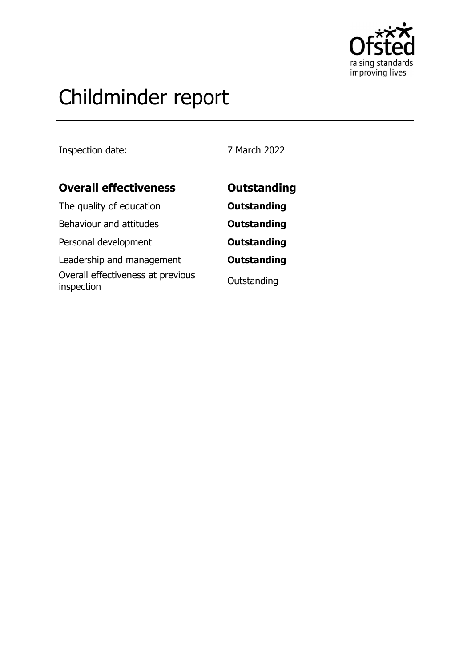

# Childminder report

Inspection date: 7 March 2022

| <b>Overall effectiveness</b>                    | <b>Outstanding</b> |
|-------------------------------------------------|--------------------|
| The quality of education                        | <b>Outstanding</b> |
| Behaviour and attitudes                         | <b>Outstanding</b> |
| Personal development                            | <b>Outstanding</b> |
| Leadership and management                       | <b>Outstanding</b> |
| Overall effectiveness at previous<br>inspection | Outstanding        |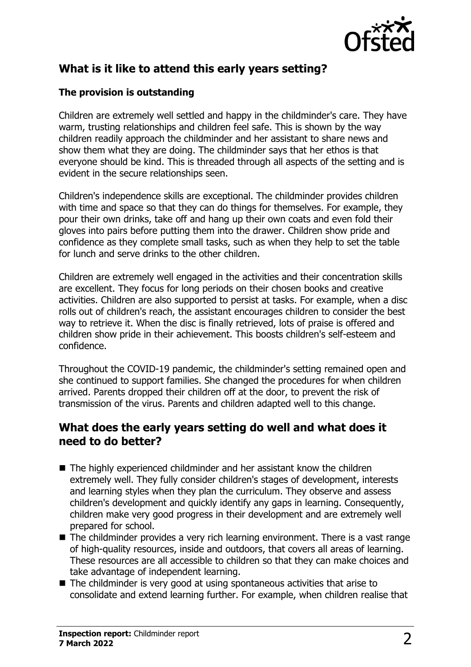

# **What is it like to attend this early years setting?**

### **The provision is outstanding**

Children are extremely well settled and happy in the childminder's care. They have warm, trusting relationships and children feel safe. This is shown by the way children readily approach the childminder and her assistant to share news and show them what they are doing. The childminder says that her ethos is that everyone should be kind. This is threaded through all aspects of the setting and is evident in the secure relationships seen.

Children's independence skills are exceptional. The childminder provides children with time and space so that they can do things for themselves. For example, they pour their own drinks, take off and hang up their own coats and even fold their gloves into pairs before putting them into the drawer. Children show pride and confidence as they complete small tasks, such as when they help to set the table for lunch and serve drinks to the other children.

Children are extremely well engaged in the activities and their concentration skills are excellent. They focus for long periods on their chosen books and creative activities. Children are also supported to persist at tasks. For example, when a disc rolls out of children's reach, the assistant encourages children to consider the best way to retrieve it. When the disc is finally retrieved, lots of praise is offered and children show pride in their achievement. This boosts children's self-esteem and confidence.

Throughout the COVID-19 pandemic, the childminder's setting remained open and she continued to support families. She changed the procedures for when children arrived. Parents dropped their children off at the door, to prevent the risk of transmission of the virus. Parents and children adapted well to this change.

## **What does the early years setting do well and what does it need to do better?**

- $\blacksquare$  The highly experienced childminder and her assistant know the children extremely well. They fully consider children's stages of development, interests and learning styles when they plan the curriculum. They observe and assess children's development and quickly identify any gaps in learning. Consequently, children make very good progress in their development and are extremely well prepared for school.
- $\blacksquare$  The childminder provides a very rich learning environment. There is a vast range of high-quality resources, inside and outdoors, that covers all areas of learning. These resources are all accessible to children so that they can make choices and take advantage of independent learning.
- $\blacksquare$  The childminder is very good at using spontaneous activities that arise to consolidate and extend learning further. For example, when children realise that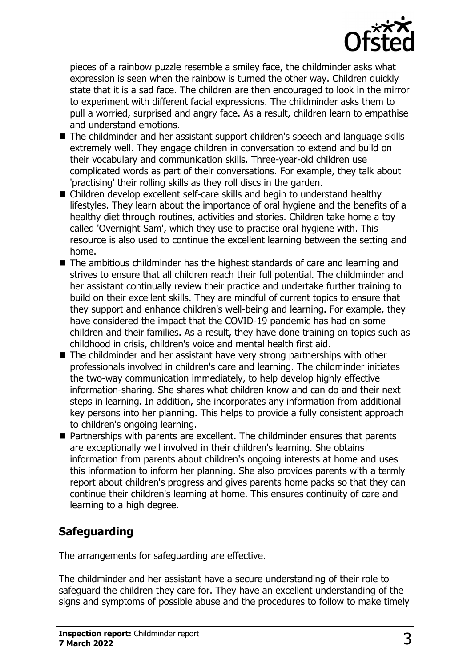

pieces of a rainbow puzzle resemble a smiley face, the childminder asks what expression is seen when the rainbow is turned the other way. Children quickly state that it is a sad face. The children are then encouraged to look in the mirror to experiment with different facial expressions. The childminder asks them to pull a worried, surprised and angry face. As a result, children learn to empathise and understand emotions.

- The childminder and her assistant support children's speech and language skills extremely well. They engage children in conversation to extend and build on their vocabulary and communication skills. Three-year-old children use complicated words as part of their conversations. For example, they talk about 'practising' their rolling skills as they roll discs in the garden.
- $\blacksquare$  Children develop excellent self-care skills and begin to understand healthy lifestyles. They learn about the importance of oral hygiene and the benefits of a healthy diet through routines, activities and stories. Children take home a toy called 'Overnight Sam', which they use to practise oral hygiene with. This resource is also used to continue the excellent learning between the setting and home.
- $\blacksquare$  The ambitious childminder has the highest standards of care and learning and strives to ensure that all children reach their full potential. The childminder and her assistant continually review their practice and undertake further training to build on their excellent skills. They are mindful of current topics to ensure that they support and enhance children's well-being and learning. For example, they have considered the impact that the COVID-19 pandemic has had on some children and their families. As a result, they have done training on topics such as childhood in crisis, children's voice and mental health first aid.
- $\blacksquare$  The childminder and her assistant have very strong partnerships with other professionals involved in children's care and learning. The childminder initiates the two-way communication immediately, to help develop highly effective information-sharing. She shares what children know and can do and their next steps in learning. In addition, she incorporates any information from additional key persons into her planning. This helps to provide a fully consistent approach to children's ongoing learning.
- $\blacksquare$  Partnerships with parents are excellent. The childminder ensures that parents are exceptionally well involved in their children's learning. She obtains information from parents about children's ongoing interests at home and uses this information to inform her planning. She also provides parents with a termly report about children's progress and gives parents home packs so that they can continue their children's learning at home. This ensures continuity of care and learning to a high degree.

# **Safeguarding**

The arrangements for safeguarding are effective.

The childminder and her assistant have a secure understanding of their role to safeguard the children they care for. They have an excellent understanding of the signs and symptoms of possible abuse and the procedures to follow to make timely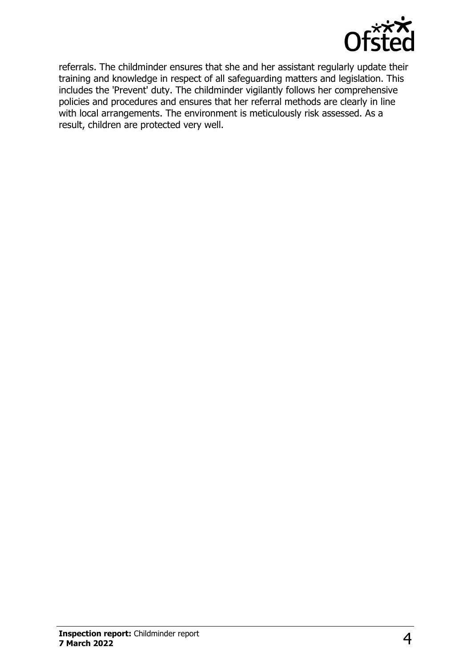

referrals. The childminder ensures that she and her assistant regularly update their training and knowledge in respect of all safeguarding matters and legislation. This includes the 'Prevent' duty. The childminder vigilantly follows her comprehensive policies and procedures and ensures that her referral methods are clearly in line with local arrangements. The environment is meticulously risk assessed. As a result, children are protected very well.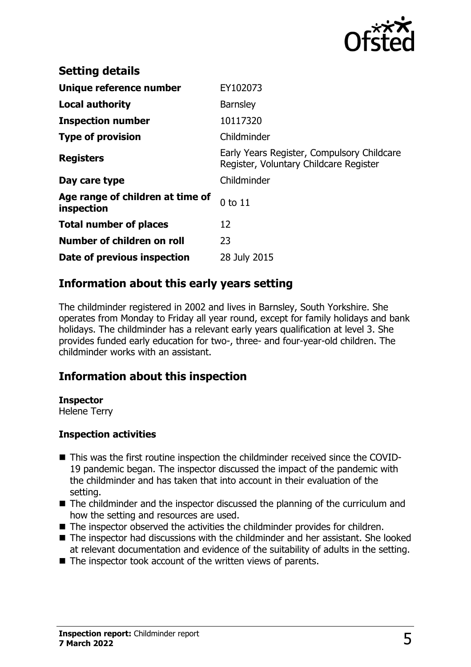

| <b>Setting details</b>                         |                                                                                      |
|------------------------------------------------|--------------------------------------------------------------------------------------|
| Unique reference number                        | EY102073                                                                             |
| <b>Local authority</b>                         | <b>Barnsley</b>                                                                      |
| <b>Inspection number</b>                       | 10117320                                                                             |
| <b>Type of provision</b>                       | Childminder                                                                          |
| <b>Registers</b>                               | Early Years Register, Compulsory Childcare<br>Register, Voluntary Childcare Register |
| Day care type                                  | Childminder                                                                          |
| Age range of children at time of<br>inspection | $0$ to $11$                                                                          |
| <b>Total number of places</b>                  | 12                                                                                   |
| Number of children on roll                     | 23                                                                                   |
| Date of previous inspection                    | 28 July 2015                                                                         |

# **Information about this early years setting**

The childminder registered in 2002 and lives in Barnsley, South Yorkshire. She operates from Monday to Friday all year round, except for family holidays and bank holidays. The childminder has a relevant early years qualification at level 3. She provides funded early education for two-, three- and four-year-old children. The childminder works with an assistant.

# **Information about this inspection**

#### **Inspector**

Helene Terry

#### **Inspection activities**

- This was the first routine inspection the childminder received since the COVID-19 pandemic began. The inspector discussed the impact of the pandemic with the childminder and has taken that into account in their evaluation of the setting.
- $\blacksquare$  The childminder and the inspector discussed the planning of the curriculum and how the setting and resources are used.
- $\blacksquare$  The inspector observed the activities the childminder provides for children.
- $\blacksquare$  The inspector had discussions with the childminder and her assistant. She looked at relevant documentation and evidence of the suitability of adults in the setting.
- $\blacksquare$  The inspector took account of the written views of parents.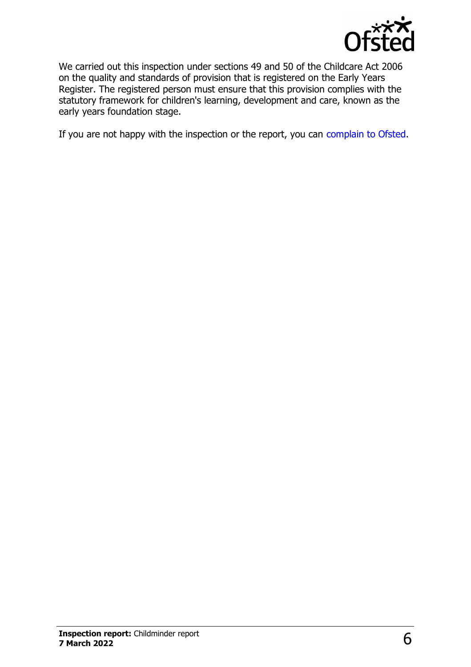

We carried out this inspection under sections 49 and 50 of the Childcare Act 2006 on the quality and standards of provision that is registered on the Early Years Register. The registered person must ensure that this provision complies with the statutory framework for children's learning, development and care, known as the early years foundation stage.

If you are not happy with the inspection or the report, you can [complain to Ofsted](http://www.gov.uk/complain-ofsted-report).